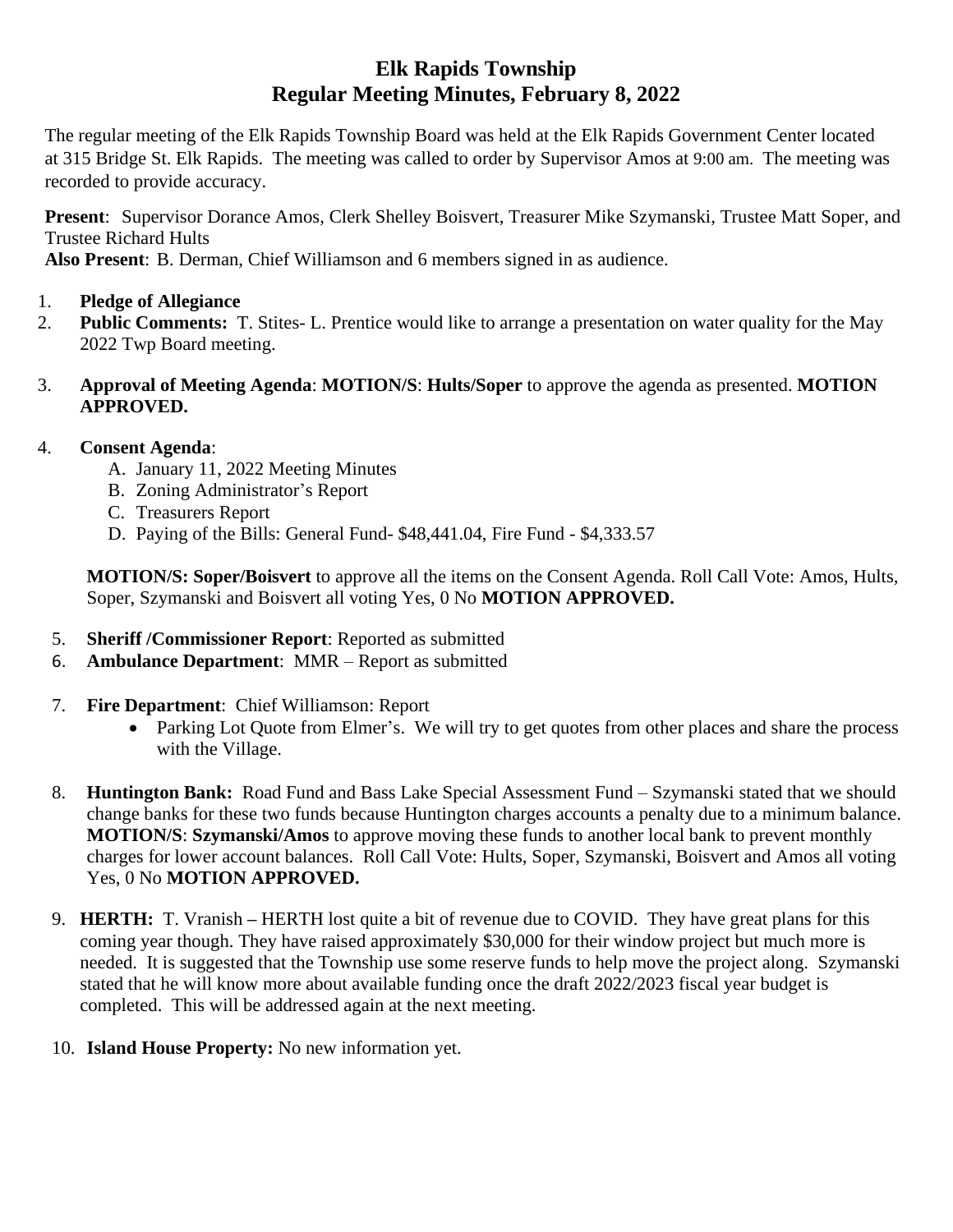# **Elk Rapids Township Regular Meeting Minutes, February 8, 2022**

The regular meeting of the Elk Rapids Township Board was held at the Elk Rapids Government Center located at 315 Bridge St. Elk Rapids. The meeting was called to order by Supervisor Amos at 9:00 am. The meeting was recorded to provide accuracy.

**Present**: Supervisor Dorance Amos, Clerk Shelley Boisvert, Treasurer Mike Szymanski, Trustee Matt Soper, and Trustee Richard Hults

**Also Present**: B. Derman, Chief Williamson and 6 members signed in as audience.

- 1. **Pledge of Allegiance**
- 2. **Public Comments:** T. Stites- L. Prentice would like to arrange a presentation on water quality for the May 2022 Twp Board meeting.
- 3. **Approval of Meeting Agenda**: **MOTION/S**: **Hults/Soper** to approve the agenda as presented. **MOTION APPROVED.**

## 4. **Consent Agenda**:

- A. January 11, 2022 Meeting Minutes
- B. Zoning Administrator's Report
- C. Treasurers Report
- D. Paying of the Bills: General Fund- \$48,441.04, Fire Fund \$4,333.57

**MOTION/S: Soper/Boisvert** to approve all the items on the Consent Agenda. Roll Call Vote: Amos, Hults, Soper, Szymanski and Boisvert all voting Yes, 0 No **MOTION APPROVED.**

- 5. **Sheriff /Commissioner Report**: Reported as submitted
- 6. **Ambulance Department**: MMR Report as submitted
- 7. **Fire Department**: Chief Williamson: Report
	- Parking Lot Quote from Elmer's. We will try to get quotes from other places and share the process with the Village.
- 8. **Huntington Bank:** Road Fund and Bass Lake Special Assessment Fund Szymanski stated that we should change banks for these two funds because Huntington charges accounts a penalty due to a minimum balance. **MOTION/S**: **Szymanski/Amos** to approve moving these funds to another local bank to prevent monthly charges for lower account balances. Roll Call Vote: Hults, Soper, Szymanski, Boisvert and Amos all voting Yes, 0 No **MOTION APPROVED.**
- 9. **HERTH:** T. Vranish **–** HERTH lost quite a bit of revenue due to COVID. They have great plans for this coming year though. They have raised approximately \$30,000 for their window project but much more is needed. It is suggested that the Township use some reserve funds to help move the project along. Szymanski stated that he will know more about available funding once the draft 2022/2023 fiscal year budget is completed. This will be addressed again at the next meeting.
- 10. **Island House Property:** No new information yet.